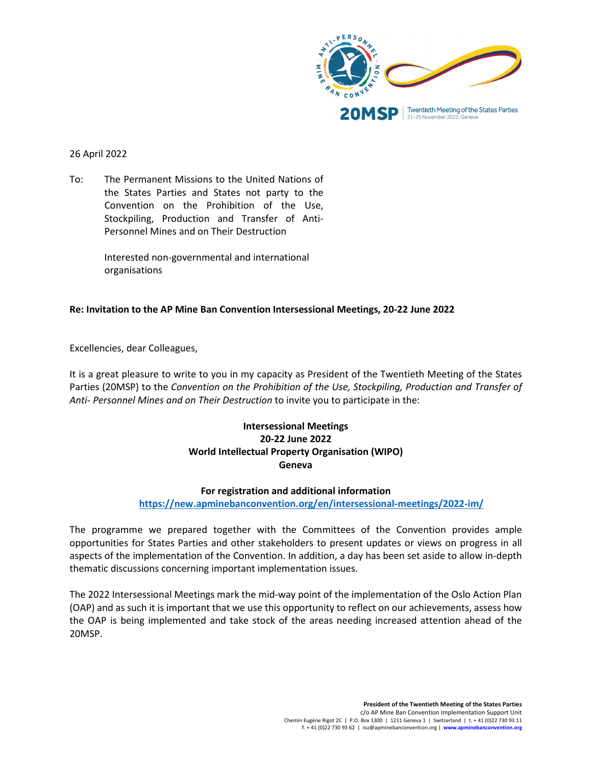

# 26 April 2022

To: The Permanent Missions to the United Nations of the States Parties and States not party to the Convention on the Prohibition of the Use, Stockpiling, Production and Transfer of Anti-Personnel Mines and on Their Destruction

> Interested non-governmental and international organisations

# **Re: Invitation to the AP Mine Ban Convention Intersessional Meetings, 20-22 June 2022**

Excellencies, dear Colleagues,

It is a great pleasure to write to you in my capacity as President of the Twentieth Meeting of the States Parties (20MSP) to the *Convention on the Prohibition of the Use, Stockpiling, Production and Transfer of Anti- Personnel Mines and on Their Destruction* to invite you to participate in the:

# **Intersessional Meetings 20-22 June 2022 World Intellectual Property Organisation (WIPO) Geneva**

# **For registration and additional information**

# **<https://new.apminebanconvention.org/en/intersessional-meetings/2022-im/>**

The programme we prepared together with the Committees of the Convention provides ample opportunities for States Parties and other stakeholders to present updates or views on progress in all aspects of the implementation of the Convention. In addition, a day has been set aside to allow in-depth thematic discussions concerning important implementation issues.

The 2022 Intersessional Meetings mark the mid-way point of the implementation of the Oslo Action Plan (OAP) and as such it is important that we use this opportunity to reflect on our achievements, assess how the OAP is being implemented and take stock of the areas needing increased attention ahead of the 20MSP.